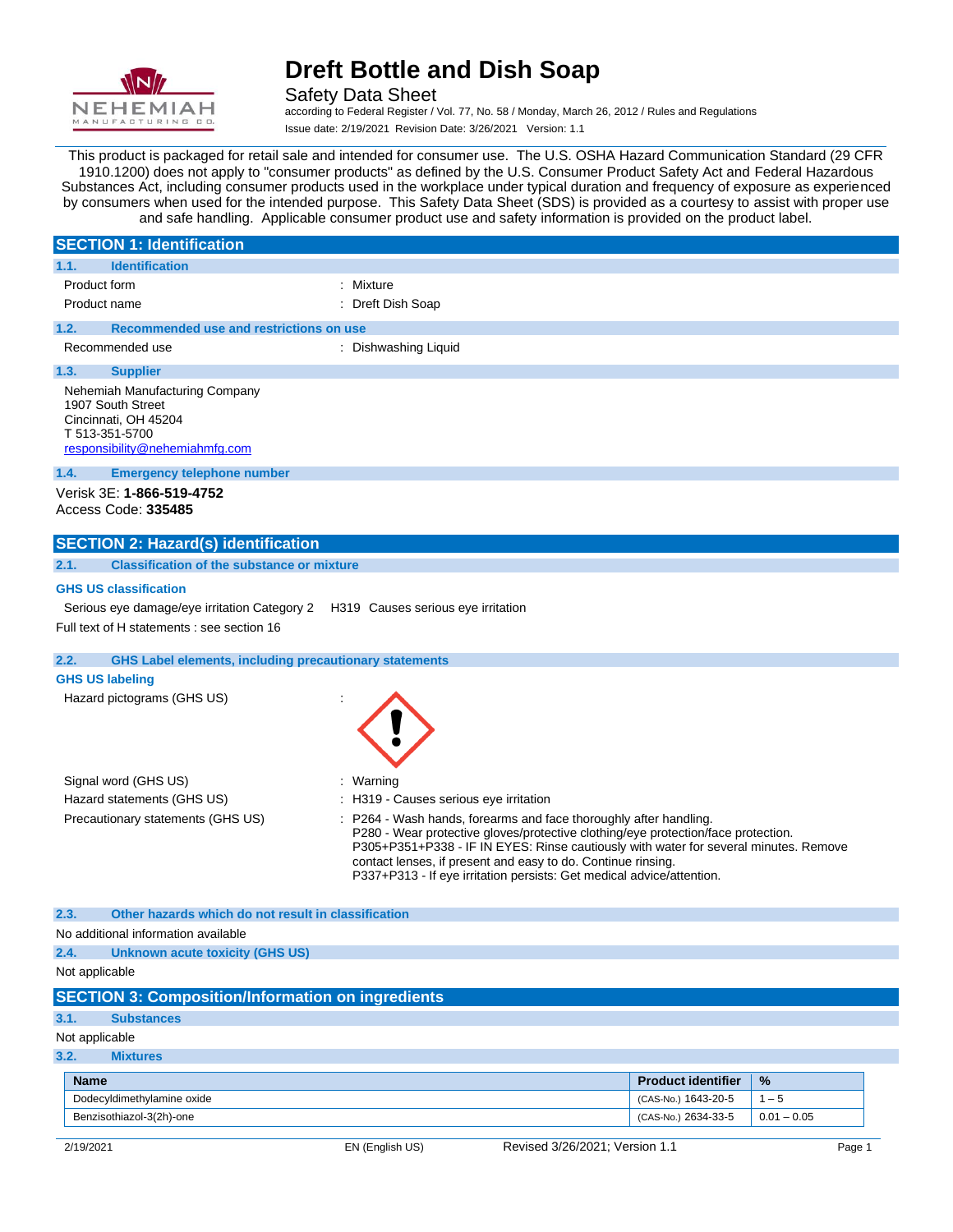

Safety Data Sheet according to Federal Register / Vol. 77, No. 58 / Monday, March 26, 2012 / Rules and Regulations Issue date: 2/19/2021 Revision Date: 3/26/2021 Version: 1.1

This product is packaged for retail sale and intended for consumer use. The U.S. OSHA Hazard Communication Standard (29 CFR 1910.1200) does not apply to "consumer products" as defined by the U.S. Consumer Product Safety Act and Federal Hazardous Substances Act, including consumer products used in the workplace under typical duration and frequency of exposure as experienced by consumers when used for the intended purpose. This Safety Data Sheet (SDS) is provided as a courtesy to assist with proper use and safe handling. Applicable consumer product use and safety information is provided on the product label.

|                                                                                                                                 | <b>SECTION 1: Identification</b>                                                |                                                                                                                                                                                                                                                                                                                                                                                       |
|---------------------------------------------------------------------------------------------------------------------------------|---------------------------------------------------------------------------------|---------------------------------------------------------------------------------------------------------------------------------------------------------------------------------------------------------------------------------------------------------------------------------------------------------------------------------------------------------------------------------------|
| 1.1.                                                                                                                            | <b>Identification</b>                                                           |                                                                                                                                                                                                                                                                                                                                                                                       |
| Product form                                                                                                                    |                                                                                 | Mixture                                                                                                                                                                                                                                                                                                                                                                               |
| Product name                                                                                                                    |                                                                                 | : Dreft Dish Soap                                                                                                                                                                                                                                                                                                                                                                     |
| 1.2.                                                                                                                            | Recommended use and restrictions on use                                         |                                                                                                                                                                                                                                                                                                                                                                                       |
|                                                                                                                                 | Recommended use                                                                 | : Dishwashing Liquid                                                                                                                                                                                                                                                                                                                                                                  |
| 1.3.                                                                                                                            | <b>Supplier</b>                                                                 |                                                                                                                                                                                                                                                                                                                                                                                       |
| Nehemiah Manufacturing Company<br>1907 South Street<br>Cincinnati, OH 45204<br>T 513-351-5700<br>responsibility@nehemiahmfg.com |                                                                                 |                                                                                                                                                                                                                                                                                                                                                                                       |
| 1.4.                                                                                                                            | <b>Emergency telephone number</b>                                               |                                                                                                                                                                                                                                                                                                                                                                                       |
|                                                                                                                                 | Verisk 3E: 1-866-519-4752<br>Access Code: 335485                                |                                                                                                                                                                                                                                                                                                                                                                                       |
|                                                                                                                                 | <b>SECTION 2: Hazard(s) identification</b>                                      |                                                                                                                                                                                                                                                                                                                                                                                       |
| 2.1.                                                                                                                            | <b>Classification of the substance or mixture</b>                               |                                                                                                                                                                                                                                                                                                                                                                                       |
|                                                                                                                                 | <b>GHS US classification</b>                                                    |                                                                                                                                                                                                                                                                                                                                                                                       |
|                                                                                                                                 | Serious eye damage/eye irritation Category 2 H319 Causes serious eye irritation |                                                                                                                                                                                                                                                                                                                                                                                       |
|                                                                                                                                 | Full text of H statements : see section 16                                      |                                                                                                                                                                                                                                                                                                                                                                                       |
| 2.2.                                                                                                                            | <b>GHS Label elements, including precautionary statements</b>                   |                                                                                                                                                                                                                                                                                                                                                                                       |
| <b>GHS US labeling</b>                                                                                                          |                                                                                 |                                                                                                                                                                                                                                                                                                                                                                                       |
|                                                                                                                                 | Hazard pictograms (GHS US)                                                      |                                                                                                                                                                                                                                                                                                                                                                                       |
|                                                                                                                                 | Signal word (GHS US)                                                            | Warning                                                                                                                                                                                                                                                                                                                                                                               |
|                                                                                                                                 | Hazard statements (GHS US)                                                      | : H319 - Causes serious eye irritation                                                                                                                                                                                                                                                                                                                                                |
|                                                                                                                                 | Precautionary statements (GHS US)                                               | P264 - Wash hands, forearms and face thoroughly after handling.<br>P280 - Wear protective gloves/protective clothing/eye protection/face protection.<br>P305+P351+P338 - IF IN EYES: Rinse cautiously with water for several minutes. Remove<br>contact lenses, if present and easy to do. Continue rinsing.<br>P337+P313 - If eye irritation persists: Get medical advice/attention. |

#### **2.3. Other hazards which do not result in classification**

No additional information available

#### **2.4. Unknown acute toxicity (GHS US)**

#### Not applicable

|  | <b>SECTION 3: Composition/Information on ingredients</b> |
|--|----------------------------------------------------------|

#### **3.1. Substances**

#### Not applicable

#### **3.2. Mixtures**

| <b>Name</b>                | <b>Product identifier</b> | $\frac{9}{6}$ |
|----------------------------|---------------------------|---------------|
| Dodecyldimethylamine oxide | (CAS-No.) 1643-20-5       | ` – ಓ         |
| Benzisothiazol-3(2h)-one   | (CAS-No.) 2634-33-5       | $0.01 - 0.05$ |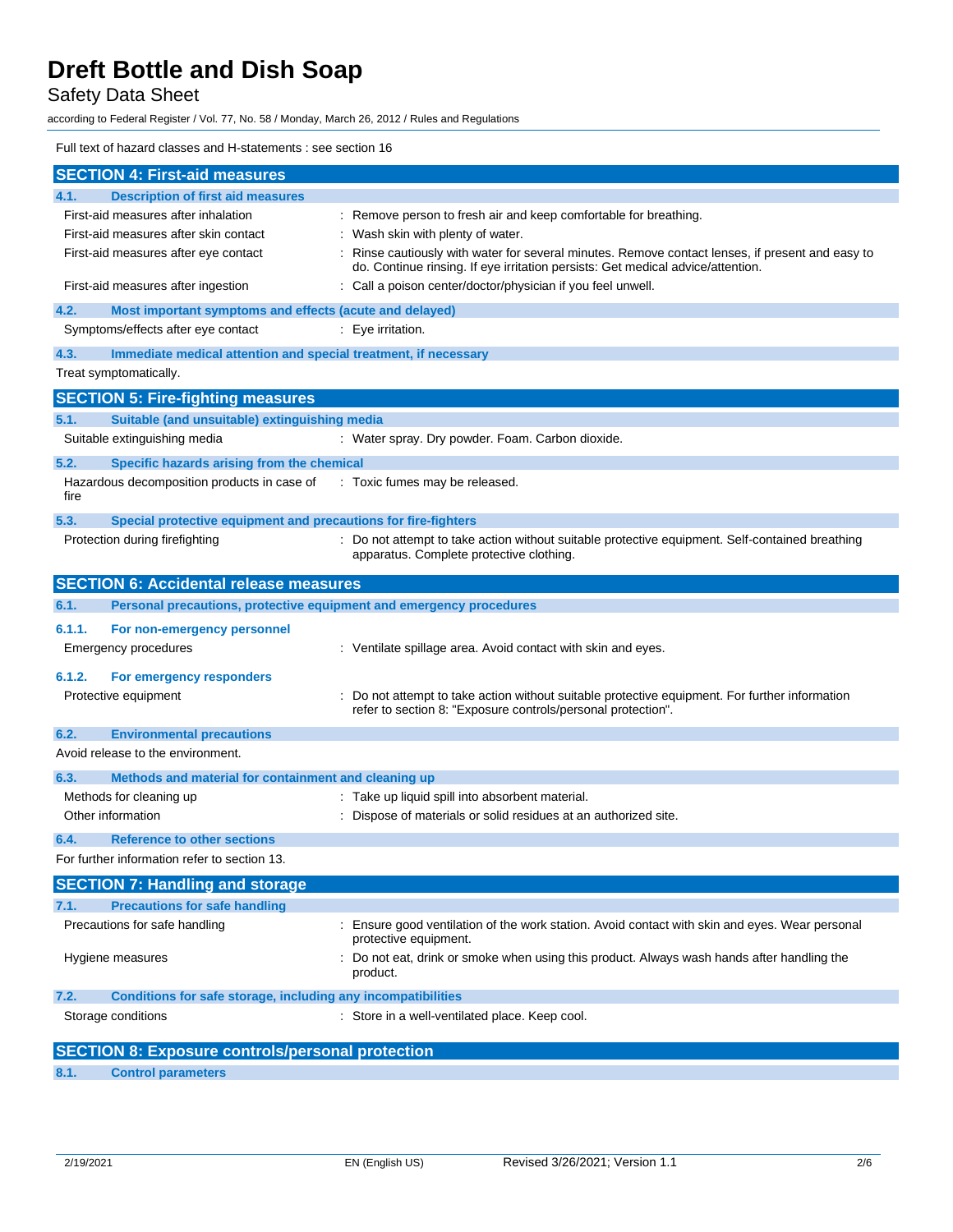# Safety Data Sheet

according to Federal Register / Vol. 77, No. 58 / Monday, March 26, 2012 / Rules and Regulations

### Full text of hazard classes and H-statements : see section 16

|                        | <b>SECTION 4: First-aid measures</b>                                |                                                                                                                                                                                   |
|------------------------|---------------------------------------------------------------------|-----------------------------------------------------------------------------------------------------------------------------------------------------------------------------------|
| 4.1.                   | <b>Description of first aid measures</b>                            |                                                                                                                                                                                   |
|                        | First-aid measures after inhalation                                 | Remove person to fresh air and keep comfortable for breathing.                                                                                                                    |
|                        | First-aid measures after skin contact                               | : Wash skin with plenty of water.                                                                                                                                                 |
|                        | First-aid measures after eye contact                                | Rinse cautiously with water for several minutes. Remove contact lenses, if present and easy to<br>do. Continue rinsing. If eye irritation persists: Get medical advice/attention. |
|                        | First-aid measures after ingestion                                  | Call a poison center/doctor/physician if you feel unwell.                                                                                                                         |
| 4.2.                   | Most important symptoms and effects (acute and delayed)             |                                                                                                                                                                                   |
|                        | Symptoms/effects after eye contact                                  | : Eye irritation.                                                                                                                                                                 |
| 4.3.                   | Immediate medical attention and special treatment, if necessary     |                                                                                                                                                                                   |
| Treat symptomatically. |                                                                     |                                                                                                                                                                                   |
|                        | <b>SECTION 5: Fire-fighting measures</b>                            |                                                                                                                                                                                   |
| 5.1.                   | Suitable (and unsuitable) extinguishing media                       |                                                                                                                                                                                   |
|                        | Suitable extinguishing media                                        | : Water spray. Dry powder. Foam. Carbon dioxide.                                                                                                                                  |
| 5.2.                   | Specific hazards arising from the chemical                          |                                                                                                                                                                                   |
| fire                   | Hazardous decomposition products in case of                         | : Toxic fumes may be released.                                                                                                                                                    |
| 5.3.                   | Special protective equipment and precautions for fire-fighters      |                                                                                                                                                                                   |
|                        | Protection during firefighting                                      | Do not attempt to take action without suitable protective equipment. Self-contained breathing<br>apparatus. Complete protective clothing.                                         |
|                        | <b>SECTION 6: Accidental release measures</b>                       |                                                                                                                                                                                   |
| 6.1.                   | Personal precautions, protective equipment and emergency procedures |                                                                                                                                                                                   |
| 6.1.1.                 | For non-emergency personnel                                         |                                                                                                                                                                                   |
|                        | Emergency procedures                                                | : Ventilate spillage area. Avoid contact with skin and eyes.                                                                                                                      |
| 6.1.2.                 | For emergency responders                                            |                                                                                                                                                                                   |
|                        | Protective equipment                                                | Do not attempt to take action without suitable protective equipment. For further information<br>refer to section 8: "Exposure controls/personal protection".                      |
| 6.2.                   | <b>Environmental precautions</b>                                    |                                                                                                                                                                                   |
|                        | Avoid release to the environment.                                   |                                                                                                                                                                                   |
| 6.3.                   | Methods and material for containment and cleaning up                |                                                                                                                                                                                   |
|                        | Methods for cleaning up                                             | : Take up liquid spill into absorbent material.                                                                                                                                   |
| Other information      |                                                                     | Dispose of materials or solid residues at an authorized site.                                                                                                                     |
| 6.4.                   | <b>Reference to other sections</b>                                  |                                                                                                                                                                                   |
|                        | For further information refer to section 13.                        |                                                                                                                                                                                   |
|                        | <b>SECTION 7: Handling and storage</b>                              |                                                                                                                                                                                   |
| 7.1.                   | <b>Precautions for safe handling</b>                                |                                                                                                                                                                                   |
|                        | Precautions for safe handling                                       | Ensure good ventilation of the work station. Avoid contact with skin and eyes. Wear personal<br>protective equipment.                                                             |
| Hygiene measures       |                                                                     | Do not eat, drink or smoke when using this product. Always wash hands after handling the<br>product.                                                                              |
| 7.2.                   | Conditions for safe storage, including any incompatibilities        |                                                                                                                                                                                   |
| Storage conditions     |                                                                     | Store in a well-ventilated place. Keep cool.                                                                                                                                      |
|                        | <b>SECTION 8: Exposure controls/personal protection</b>             |                                                                                                                                                                                   |
|                        |                                                                     |                                                                                                                                                                                   |

**8.1. Control parameters**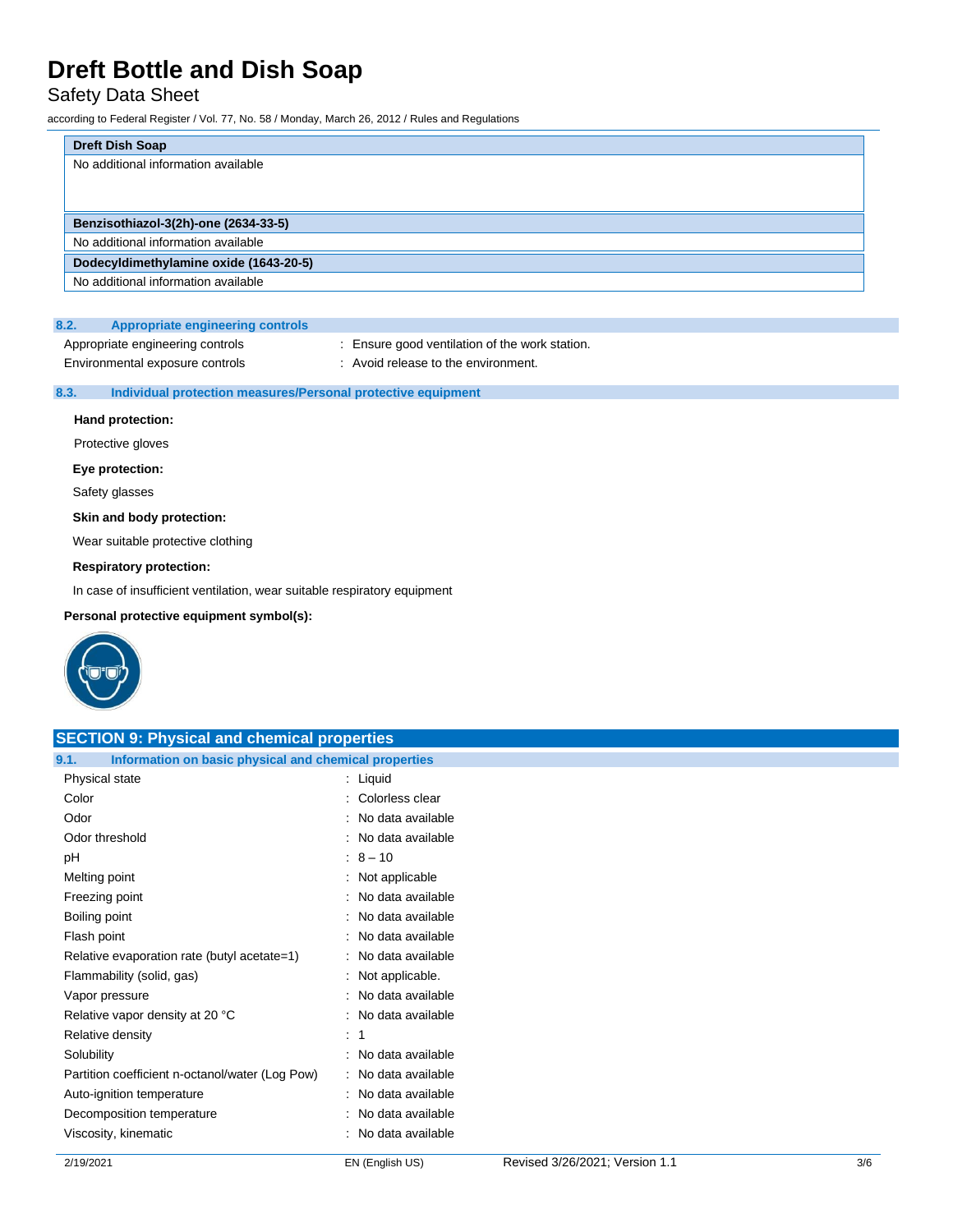# Safety Data Sheet

according to Federal Register / Vol. 77, No. 58 / Monday, March 26, 2012 / Rules and Regulations

| <b>Dreft Dish Soap</b>                 |  |
|----------------------------------------|--|
| No additional information available    |  |
|                                        |  |
|                                        |  |
| Benzisothiazol-3(2h)-one (2634-33-5)   |  |
| No additional information available    |  |
| Dodecyldimethylamine oxide (1643-20-5) |  |
| No additional information available    |  |

### **8.2. Appropriate engineering controls**

Appropriate engineering controls : Ensure good ventilation of the work station.

Environmental exposure controls : Avoid release to the environment.

#### **8.3. Individual protection measures/Personal protective equipment**

#### **Hand protection:**

Protective gloves

### **Eye protection:**

Safety glasses

#### **Skin and body protection:**

Wear suitable protective clothing

#### **Respiratory protection:**

In case of insufficient ventilation, wear suitable respiratory equipment

**Personal protective equipment symbol(s):**



| <b>SECTION 9: Physical and chemical properties</b>            |                     |  |  |
|---------------------------------------------------------------|---------------------|--|--|
| 9.1.<br>Information on basic physical and chemical properties |                     |  |  |
| Physical state                                                | : Liquid            |  |  |
| Color                                                         | : Colorless clear   |  |  |
| Odor                                                          | : No data available |  |  |
| Odor threshold                                                | : No data available |  |  |
| pH                                                            | $: 8 - 10$          |  |  |
| Melting point                                                 | : Not applicable    |  |  |
| Freezing point                                                | : No data available |  |  |
| Boiling point                                                 | : No data available |  |  |
| Flash point                                                   | : No data available |  |  |
| Relative evaporation rate (butyl acetate=1)                   | : No data available |  |  |
| Flammability (solid, gas)                                     | : Not applicable.   |  |  |
| Vapor pressure                                                | : No data available |  |  |
| Relative vapor density at 20 °C                               | : No data available |  |  |
| Relative density                                              | $\therefore$ 1      |  |  |
| Solubility                                                    | : No data available |  |  |
| Partition coefficient n-octanol/water (Log Pow)               | : No data available |  |  |
| Auto-ignition temperature                                     | : No data available |  |  |
| Decomposition temperature                                     | : No data available |  |  |
| Viscosity, kinematic                                          | : No data available |  |  |
|                                                               |                     |  |  |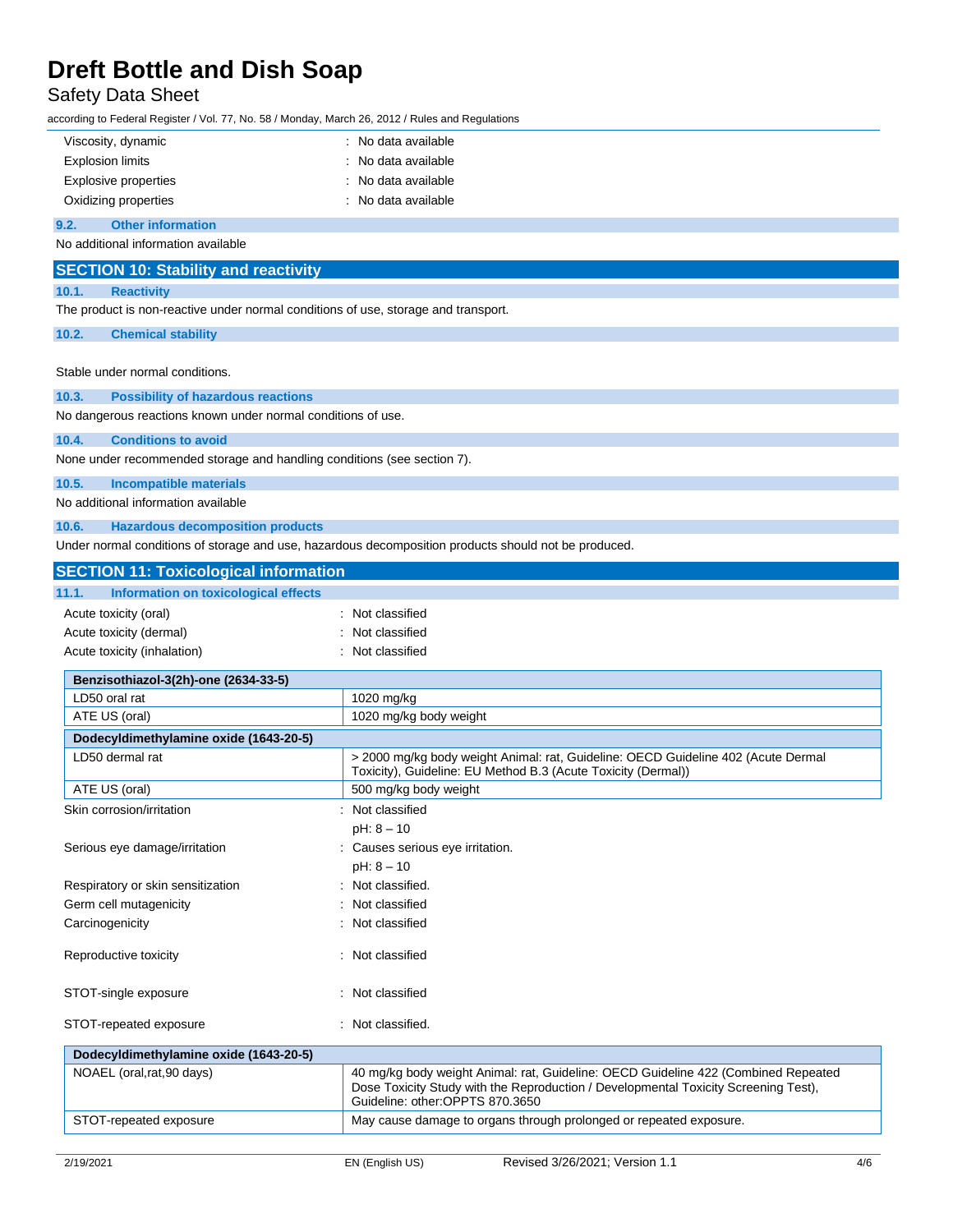# Safety Data Sheet

according to Federal Register / Vol. 77, No. 58 / Monday, March 26, 2012 / Rules and Regulations

| Viscosity, dynamic      | : No data available |
|-------------------------|---------------------|
| <b>Explosion limits</b> | : No data available |
| Explosive properties    | : No data available |
| Oxidizing properties    | : No data available |

#### **9.2. Other information**

No additional information available

| <b>SECTION 10: Stability and reactivity</b>                                                          |  |  |
|------------------------------------------------------------------------------------------------------|--|--|
| <b>Reactivity</b><br>10.1.                                                                           |  |  |
| The product is non-reactive under normal conditions of use, storage and transport.                   |  |  |
| <b>Chemical stability</b><br>10.2.                                                                   |  |  |
|                                                                                                      |  |  |
| Stable under normal conditions.                                                                      |  |  |
| <b>Possibility of hazardous reactions</b><br>10.3.                                                   |  |  |
| No dangerous reactions known under normal conditions of use.                                         |  |  |
| <b>Conditions to avoid</b><br>10.4.                                                                  |  |  |
| None under recommended storage and handling conditions (see section 7).                              |  |  |
| <b>Incompatible materials</b><br>10.5.                                                               |  |  |
| No additional information available                                                                  |  |  |
| <b>Hazardous decomposition products</b><br>10.6.                                                     |  |  |
| Under normal conditions of storage and use, hazardous decomposition products should not be produced. |  |  |

**SECTION 11: Toxicological information**

| SECTION 11: Toxicological information         |                                                                                                                                                                                                              |  |
|-----------------------------------------------|--------------------------------------------------------------------------------------------------------------------------------------------------------------------------------------------------------------|--|
| 11.1.<br>Information on toxicological effects |                                                                                                                                                                                                              |  |
| Acute toxicity (oral)                         | : Not classified                                                                                                                                                                                             |  |
| Acute toxicity (dermal)                       | : Not classified                                                                                                                                                                                             |  |
| Acute toxicity (inhalation)                   | : Not classified                                                                                                                                                                                             |  |
| Benzisothiazol-3(2h)-one (2634-33-5)          |                                                                                                                                                                                                              |  |
| LD50 oral rat                                 | 1020 mg/kg                                                                                                                                                                                                   |  |
| ATE US (oral)                                 | 1020 mg/kg body weight                                                                                                                                                                                       |  |
| Dodecyldimethylamine oxide (1643-20-5)        |                                                                                                                                                                                                              |  |
| LD50 dermal rat                               | > 2000 mg/kg body weight Animal: rat, Guideline: OECD Guideline 402 (Acute Dermal<br>Toxicity), Guideline: EU Method B.3 (Acute Toxicity (Dermal))                                                           |  |
| ATE US (oral)                                 | 500 mg/kg body weight                                                                                                                                                                                        |  |
| Skin corrosion/irritation                     | : Not classified                                                                                                                                                                                             |  |
|                                               | $pH: 8 - 10$                                                                                                                                                                                                 |  |
| Serious eye damage/irritation                 | : Causes serious eye irritation.                                                                                                                                                                             |  |
|                                               | $pH: 8 - 10$                                                                                                                                                                                                 |  |
| Respiratory or skin sensitization             | : Not classified.                                                                                                                                                                                            |  |
| Germ cell mutagenicity                        | : Not classified                                                                                                                                                                                             |  |
| Carcinogenicity                               | : Not classified                                                                                                                                                                                             |  |
| Reproductive toxicity                         | : Not classified                                                                                                                                                                                             |  |
| STOT-single exposure                          | : Not classified                                                                                                                                                                                             |  |
| STOT-repeated exposure                        | : Not classified.                                                                                                                                                                                            |  |
| Dodecyldimethylamine oxide (1643-20-5)        |                                                                                                                                                                                                              |  |
| NOAEL (oral, rat, 90 days)                    | 40 mg/kg body weight Animal: rat, Guideline: OECD Guideline 422 (Combined Repeated<br>Dose Toxicity Study with the Reproduction / Developmental Toxicity Screening Test),<br>Guideline: other:OPPTS 870.3650 |  |
| STOT-repeated exposure                        | May cause damage to organs through prolonged or repeated exposure.                                                                                                                                           |  |
|                                               |                                                                                                                                                                                                              |  |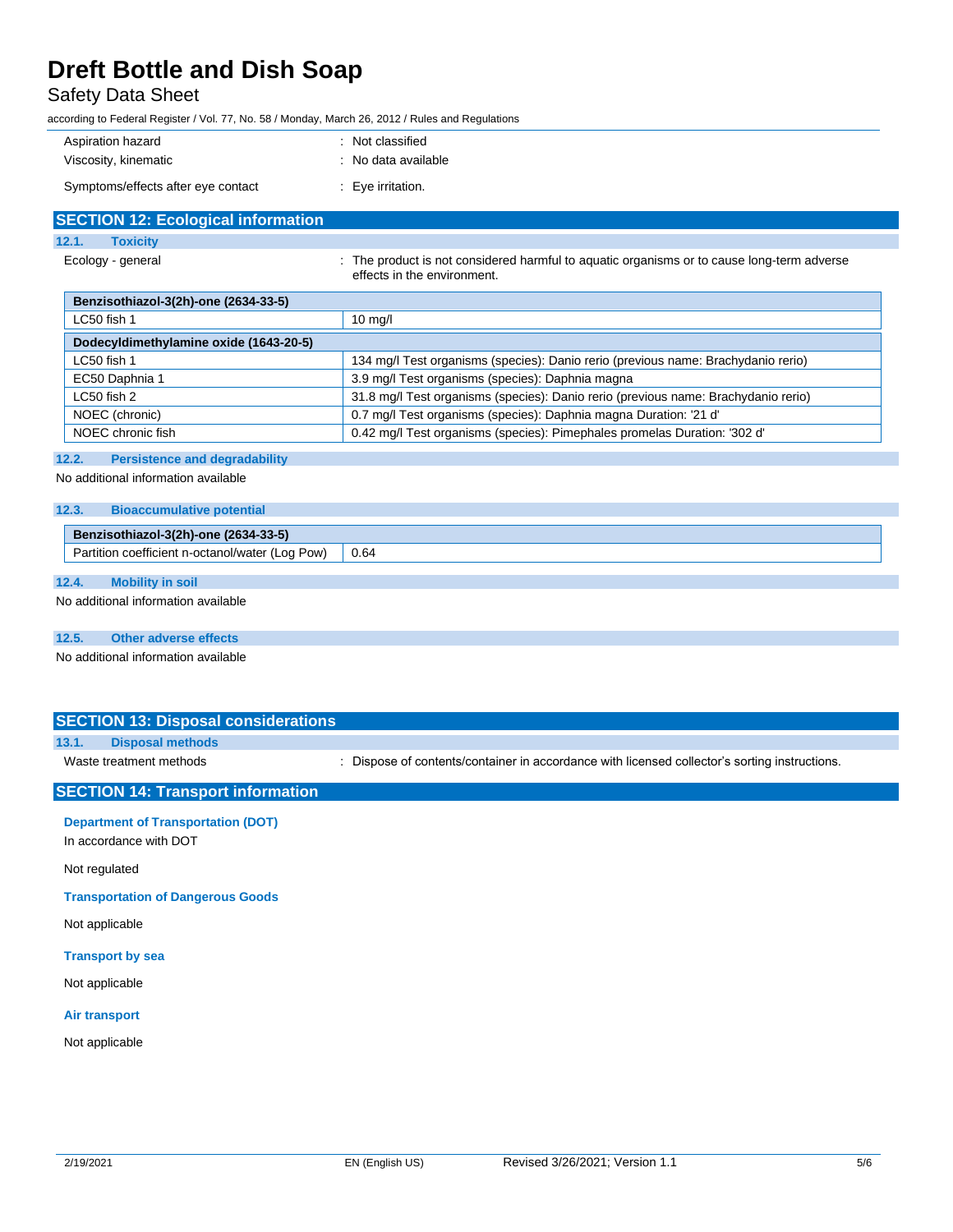# Safety Data Sheet

according to Federal Register / Vol. 77, No. 58 / Monday, March 26, 2012 / Rules and Regulations

| Aspiration hazard                  | : Not classified    |
|------------------------------------|---------------------|
| Viscosity, kinematic               | : No data available |
| Symptoms/effects after eye contact | Eye irritation.     |

| <b>SECTION 12: Ecological information</b> |                                                                                                                           |
|-------------------------------------------|---------------------------------------------------------------------------------------------------------------------------|
| 12.1.<br><b>Toxicity</b>                  |                                                                                                                           |
| Ecology - general                         | : The product is not considered harmful to aguatic organisms or to cause long-term adverse<br>effects in the environment. |

| Benzisothiazol-3(2h)-one (2634-33-5)   |                                                                                    |  |
|----------------------------------------|------------------------------------------------------------------------------------|--|
| LC50 fish 1                            | $10 \text{ mg/l}$                                                                  |  |
| Dodecyldimethylamine oxide (1643-20-5) |                                                                                    |  |
| $LC50$ fish 1                          | 134 mg/l Test organisms (species): Danio rerio (previous name: Brachydanio rerio)  |  |
| EC50 Daphnia 1                         | 3.9 mg/l Test organisms (species): Daphnia magna                                   |  |
| $LC50$ fish 2                          | 31.8 mg/l Test organisms (species): Danio rerio (previous name: Brachydanio rerio) |  |
| NOEC (chronic)                         | 0.7 mg/l Test organisms (species): Daphnia magna Duration: '21 d'                  |  |
| NOEC chronic fish                      | 0.42 mg/l Test organisms (species): Pimephales promelas Duration: '302 d'          |  |

#### **12.2. Persistence and degradability**

No additional information available

#### **12.3. Bioaccumulative potential**

| Benzisothiazol-3(2h)-one (2634-33-5)                        |      |
|-------------------------------------------------------------|------|
| <br>Pow<br>า coefficient n-octanol/water (Log_<br>Partition | 0.64 |

## **12.4. Mobility in soil**

No additional information available

### **12.5. Other adverse effects**

No additional information available

## **SECTION 13: Disposal considerations**

## **13.1. Disposal methods**

Waste treatment methods : Dispose of contents/container in accordance with licensed collector's sorting instructions.

### **SECTION 14: Transport information**

**Department of Transportation (DOT)**

In accordance with DOT

Not regulated

**Transportation of Dangerous Goods**

Not applicable

#### **Transport by sea**

Not applicable

#### **Air transport**

Not applicable